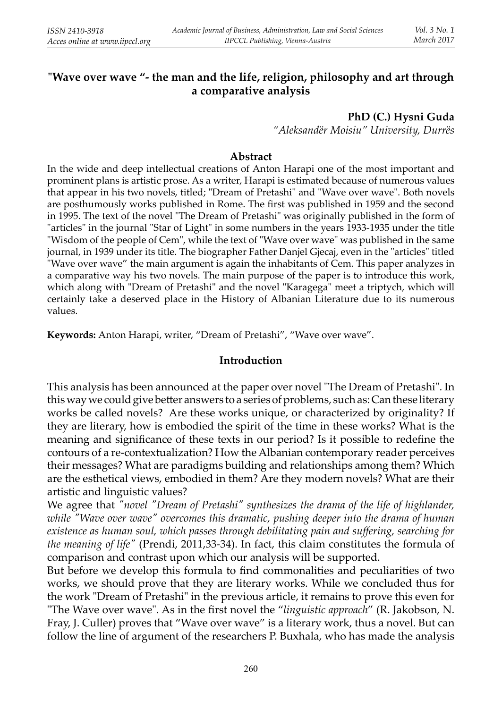# **"Wave over wave "- the man and the life, religion, philosophy and art through a comparative analysis**

#### **PhD (C.) Hysni Guda**

 *"Aleksandër Moisiu" University, Durrës*

#### **Abstract**

 In the wide and deep intellectual creations of Anton Harapi one of the most important and prominent plans is artistic prose. As a writer, Harapi is estimated because of numerous values that appear in his two novels, titled; "Dream of Pretashi" and "Wave over wave". Both novels are posthumously works published in Rome. The first was published in 1959 and the second in 1995. The text of the novel "The Dream of Pretashi" was originally published in the form of "articles" in the journal "Star of Light" in some numbers in the years 1933-1935 under the title "Wisdom of the people of Cem", while the text of "Wave over wave" was published in the same journal, in 1939 under its title. The biographer Father Danjel Gjecaj, even in the "articles" titled "Wave over wave" the main argument is again the inhabitants of Cem. This paper analyzes in a comparative way his two novels. The main purpose of the paper is to introduce this work, which along with "Dream of Pretashi" and the novel "Karagega" meet a triptych, which will certainly take a deserved place in the History of Albanian Literature due to its numerous values.

**Keywords:** Anton Harapi, writer, "Dream of Pretashi", "Wave over wave".

### **Introduction**

This analysis has been announced at the paper over novel "The Dream of Pretashi". In this way we could give better answers to a series of problems, such as: Can these literary works be called novels? Are these works unique, or characterized by originality? If they are literary, how is embodied the spirit of the time in these works? What is the meaning and significance of these texts in our period? Is it possible to redefine the contours of a re-contextualization? How the Albanian contemporary reader perceives their messages? What are paradigms building and relationships among them? Which are the esthetical views, embodied in them? Are they modern novels? What are their artistic and linguistic values?

We agree that *"novel "Dream of Pretashi" synthesizes the drama of the life of highlander, while "Wave over wave" overcomes this dramatic, pushing deeper into the drama of human existence as human soul, which passes through debilitating pain and suffering, searching for the meaning of life"* (Prendi, 2011,33-34). In fact, this claim constitutes the formula of comparison and contrast upon which our analysis will be supported.

But before we develop this formula to find commonalities and peculiarities of two works, we should prove that they are literary works. While we concluded thus for the work "Dream of Pretashi" in the previous article, it remains to prove this even for "The Wave over wave". As in the first novel the "linguistic approach" (R. Jakobson, N. Fray, J. Culler) proves that "Wave over wave" is a literary work, thus a novel. But can follow the line of argument of the researchers P. Buxhala, who has made the analysis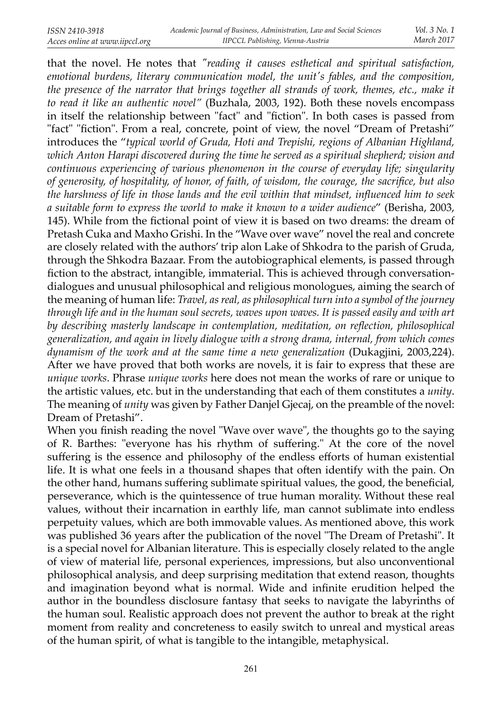that the novel. He notes that *"reading it causes esthetical and spiritual satisfaction, emotional burdens, literary communication model, the unit's fables, and the composition, the presence of the narrator that brings together all strands of work, themes, etc., make it to read it like an authentic novel"* (Buzhala, 2003, 192). Both these novels encompass in itself the relationship between "fact" and "fiction". In both cases is passed from "fact" "fiction". From a real, concrete, point of view, the novel "Dream of Pretashi" introduces the "*typical world of Gruda, Hoti and Trepishi, regions of Albanian Highland, which Anton Harapi discovered during the time he served as a spiritual shepherd; vision and continuous experiencing of various phenomenon in the course of everyday life; singularity*  of generosity, of hospitality, of honor, of faith, of wisdom, the courage, the sacrifice, but also *the harshness of life in those lands and the evil within that mindset, infl uenced him to seek a suitable form to express the world to make it known to a wider audience*" (Berisha, 2003, 145). While from the fictional point of view it is based on two dreams: the dream of Pretash Cuka and Maxho Grishi. In the "Wave over wave" novel the real and concrete are closely related with the authors' trip alon Lake of Shkodra to the parish of Gruda, through the Shkodra Bazaar. From the autobiographical elements, is passed through fiction to the abstract, intangible, immaterial. This is achieved through conversationdialogues and unusual philosophical and religious monologues, aiming the search of the meaning of human life: *Travel, as real, as philosophical turn into a symbol of the journey through life and in the human soul secrets, waves upon waves. It is passed easily and with art*  by describing masterly landscape in contemplation, meditation, on reflection, philosophical *generalization, and again in lively dialogue with a strong drama, internal, from which comes dynamism of the work and at the same time a new generalization* (Dukagjini, 2003,224). After we have proved that both works are novels, it is fair to express that these are *unique works*. Phrase *unique works* here does not mean the works of rare or unique to the artistic values, etc. but in the understanding that each of them constitutes a *unity*. The meaning of *unity* was given by Father Danjel Gjecaj, on the preamble of the novel: Dream of Pretashi".

When you finish reading the novel "Wave over wave", the thoughts go to the saying of R. Barthes: "everyone has his rhythm of suffering." At the core of the novel suffering is the essence and philosophy of the endless efforts of human existential life. It is what one feels in a thousand shapes that often identify with the pain. On the other hand, humans suffering sublimate spiritual values, the good, the beneficial, perseverance, which is the quintessence of true human morality. Without these real values, without their incarnation in earthly life, man cannot sublimate into endless perpetuity values, which are both immovable values. As mentioned above, this work was published 36 years after the publication of the novel "The Dream of Pretashi". It is a special novel for Albanian literature. This is especially closely related to the angle of view of material life, personal experiences, impressions, but also unconventional philosophical analysis, and deep surprising meditation that extend reason, thoughts and imagination beyond what is normal. Wide and infinite erudition helped the author in the boundless disclosure fantasy that seeks to navigate the labyrinths of the human soul. Realistic approach does not prevent the author to break at the right moment from reality and concreteness to easily switch to unreal and mystical areas of the human spirit, of what is tangible to the intangible, metaphysical.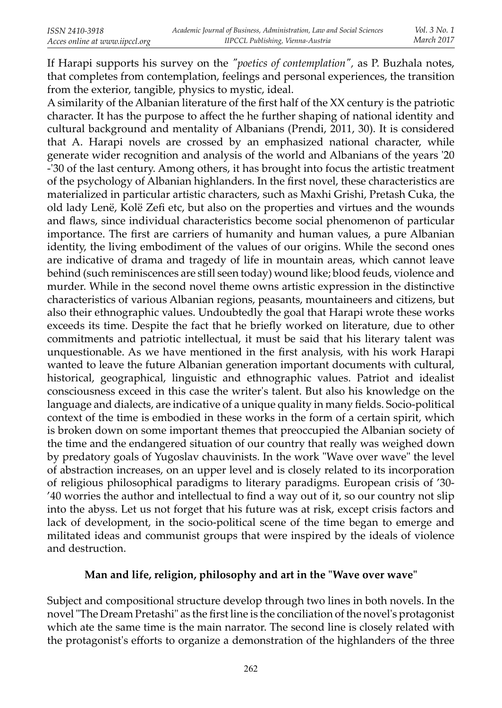If Harapi supports his survey on the *"poetics of contemplation",* as P. Buzhala notes, that completes from contemplation, feelings and personal experiences, the transition from the exterior, tangible, physics to mystic, ideal.

A similarity of the Albanian literature of the first half of the XX century is the patriotic character. It has the purpose to affect the he further shaping of national identity and cultural background and mentality of Albanians (Prendi, 2011, 30). It is considered that A. Harapi novels are crossed by an emphasized national character, while generate wider recognition and analysis of the world and Albanians of the years '20 -'30 of the last century. Among others, it has brought into focus the artistic treatment of the psychology of Albanian highlanders. In the first novel, these characteristics are materialized in particular artistic characters, such as Maxhi Grishi, Pretash Cuka, the old lady Lenë, Kolë Zefi etc, but also on the properties and virtues and the wounds and flaws, since individual characteristics become social phenomenon of particular importance. The first are carriers of humanity and human values, a pure Albanian identity, the living embodiment of the values of our origins. While the second ones are indicative of drama and tragedy of life in mountain areas, which cannot leave behind (such reminiscences are still seen today) wound like; blood feuds, violence and murder. While in the second novel theme owns artistic expression in the distinctive characteristics of various Albanian regions, peasants, mountaineers and citizens, but also their ethnographic values. Undoubtedly the goal that Harapi wrote these works exceeds its time. Despite the fact that he briefly worked on literature, due to other commitments and patriotic intellectual, it must be said that his literary talent was unquestionable. As we have mentioned in the first analysis, with his work Harapi wanted to leave the future Albanian generation important documents with cultural, historical, geographical, linguistic and ethnographic values. Patriot and idealist consciousness exceed in this case the writer's talent. But also his knowledge on the language and dialects, are indicative of a unique quality in many fields. Socio-political context of the time is embodied in these works in the form of a certain spirit, which is broken down on some important themes that preoccupied the Albanian society of the time and the endangered situation of our country that really was weighed down by predatory goals of Yugoslav chauvinists. In the work "Wave over wave" the level of abstraction increases, on an upper level and is closely related to its incorporation of religious philosophical paradigms to literary paradigms. European crisis of '30-'40 worries the author and intellectual to find a way out of it, so our country not slip into the abyss. Let us not forget that his future was at risk, except crisis factors and lack of development, in the socio-political scene of the time began to emerge and militated ideas and communist groups that were inspired by the ideals of violence and destruction.

## **Man and life, religion, philosophy and art in the "Wave over wave"**

Subject and compositional structure develop through two lines in both novels. In the novel "The Dream Pretashi" as the first line is the conciliation of the novel's protagonist which ate the same time is the main narrator. The second line is closely related with the protagonist's efforts to organize a demonstration of the highlanders of the three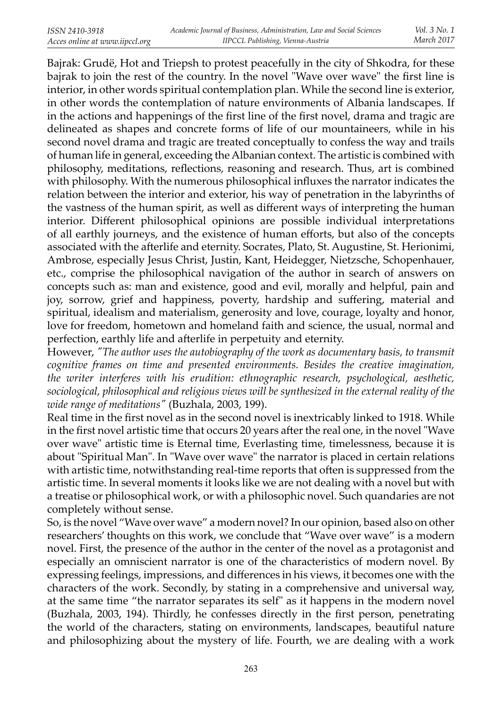Bajrak: Grudë, Hot and Triepsh to protest peacefully in the city of Shkodra, for these bajrak to join the rest of the country. In the novel "Wave over wave" the first line is interior, in other words spiritual contemplation plan. While the second line is exterior, in other words the contemplation of nature environments of Albania landscapes. If in the actions and happenings of the first line of the first novel, drama and tragic are delineated as shapes and concrete forms of life of our mountaineers, while in his second novel drama and tragic are treated conceptually to confess the way and trails of human life in general, exceeding the Albanian context. The artistic is combined with philosophy, meditations, reflections, reasoning and research. Thus, art is combined with philosophy. With the numerous philosophical influxes the narrator indicates the relation between the interior and exterior, his way of penetration in the labyrinths of the vastness of the human spirit, as well as different ways of interpreting the human interior. Different philosophical opinions are possible individual interpretations of all earthly journeys, and the existence of human efforts, but also of the concepts associated with the afterlife and eternity. Socrates, Plato, St. Augustine, St. Herionimi, Ambrose, especially Jesus Christ, Justin, Kant, Heidegger, Nietzsche, Schopenhauer, etc., comprise the philosophical navigation of the author in search of answers on concepts such as: man and existence, good and evil, morally and helpful, pain and joy, sorrow, grief and happiness, poverty, hardship and suffering, material and spiritual, idealism and materialism, generosity and love, courage, loyalty and honor, love for freedom, hometown and homeland faith and science, the usual, normal and perfection, earthly life and afterlife in perpetuity and eternity.

However, *"The author uses the autobiography of the work as documentary basis, to transmit cognitive frames on time and presented environments. Besides the creative imagination, the writer interferes with his erudition: ethnographic research, psychological, aesthetic, sociological, philosophical and religious views will be synthesized in the external reality of the wide range of meditations"* (Buzhala, 2003, 199).

Real time in the first novel as in the second novel is inextricably linked to 1918. While in the first novel artistic time that occurs 20 years after the real one, in the novel "Wave over wave" artistic time is Eternal time, Everlasting time, timelessness, because it is about "Spiritual Man". In "Wave over wave" the narrator is placed in certain relations with artistic time, notwithstanding real-time reports that often is suppressed from the artistic time. In several moments it looks like we are not dealing with a novel but with a treatise or philosophical work, or with a philosophic novel. Such quandaries are not completely without sense.

So, is the novel "Wave over wave" a modern novel? In our opinion, based also on other researchers' thoughts on this work, we conclude that "Wave over wave" is a modern novel. First, the presence of the author in the center of the novel as a protagonist and especially an omniscient narrator is one of the characteristics of modern novel. By expressing feelings, impressions, and differences in his views, it becomes one with the characters of the work. Secondly, by stating in a comprehensive and universal way, at the same time "the narrator separates its self" as it happens in the modern novel (Buzhala, 2003, 194). Thirdly, he confesses directly in the first person, penetrating the world of the characters, stating on environments, landscapes, beautiful nature and philosophizing about the mystery of life. Fourth, we are dealing with a work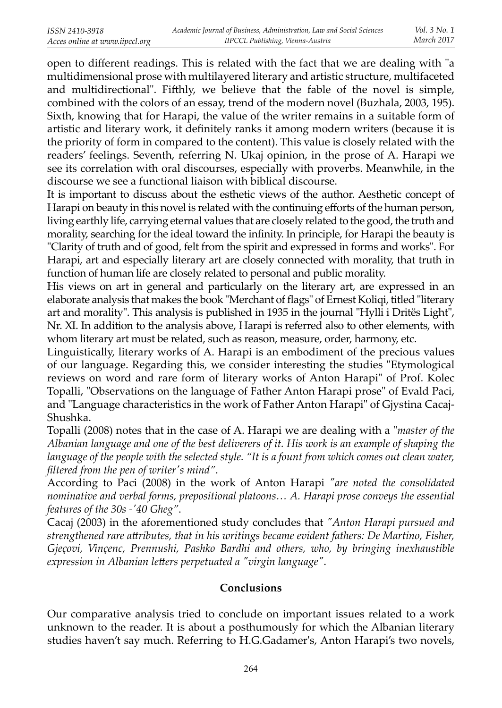open to different readings. This is related with the fact that we are dealing with "a multidimensional prose with multilayered literary and artistic structure, multifaceted and multidirectional". Fifthly, we believe that the fable of the novel is simple, combined with the colors of an essay, trend of the modern novel (Buzhala, 2003, 195). Sixth, knowing that for Harapi, the value of the writer remains in a suitable form of artistic and literary work, it definitely ranks it among modern writers (because it is the priority of form in compared to the content). This value is closely related with the readers' feelings. Seventh, referring N. Ukaj opinion, in the prose of A. Harapi we see its correlation with oral discourses, especially with proverbs. Meanwhile, in the discourse we see a functional liaison with biblical discourse.

It is important to discuss about the esthetic views of the author. Aesthetic concept of Harapi on beauty in this novel is related with the continuing efforts of the human person, living earthly life, carrying eternal values that are closely related to the good, the truth and morality, searching for the ideal toward the infinity. In principle, for Harapi the beauty is "Clarity of truth and of good, felt from the spirit and expressed in forms and works". For Harapi, art and especially literary art are closely connected with morality, that truth in function of human life are closely related to personal and public morality.

His views on art in general and particularly on the literary art, are expressed in an elaborate analysis that makes the book "Merchant of flags" of Ernest Koliqi, titled "literary art and morality". This analysis is published in 1935 in the journal "Hylli i Dritës Light", Nr. XI. In addition to the analysis above, Harapi is referred also to other elements, with whom literary art must be related, such as reason, measure, order, harmony, etc.

Linguistically, literary works of A. Harapi is an embodiment of the precious values of our language. Regarding this, we consider interesting the studies "Etymological reviews on word and rare form of literary works of Anton Harapi" of Prof. Kolec Topalli, "Observations on the language of Father Anton Harapi prose" of Evald Paci, and "Language characteristics in the work of Father Anton Harapi" of Gjystina Cacaj-Shushka.

Topalli (2008) notes that in the case of A. Harapi we are dealing with a "*master of the Albanian language and one of the best deliverers of it. His work is an example of shaping the*  language of the people with the selected style. "It is a fount from which comes out clean water, *fi ltered from the pen of writer's mind"*.

According to Paci (2008) in the work of Anton Harapi *"are noted the consolidated nominative and verbal forms, prepositional platoons... A. Harapi prose conveys the essential features of the 30s -'40 Gheg"*.

Cacaj (2003) in the aforementioned study concludes that *"Anton Harapi pursued and strengthened rare a! ributes, that in his writings became evident fathers: De Martino, Fisher, Gjeçovi, Vinçenc, Prennushi, Pashko Bardhi and others, who, by bringing inexhaustible expression in Albanian le! ers perpetuated a "virgin language"*.

# **Conclusions**

Our comparative analysis tried to conclude on important issues related to a work unknown to the reader. It is about a posthumously for which the Albanian literary studies haven't say much. Referring to H.G.Gadamer's, Anton Harapi's two novels,